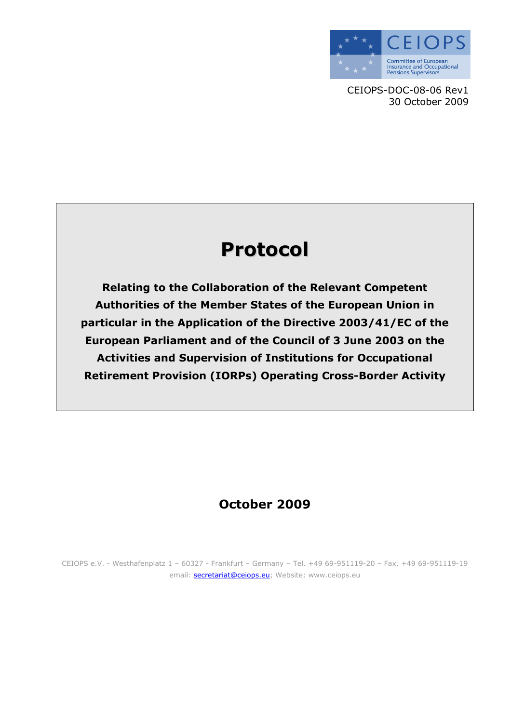

CEIOPS-DOC-08-06 Rev1 30 October 2009

# Protocol

Relating to the Collaboration of the Relevant Competent Authorities of the Member States of the European Union in particular in the Application of the Directive 2003/41/EC of the European Parliament and of the Council of 3 June 2003 on the Activities and Supervision of Institutions for Occupational Retirement Provision (IORPs) Operating Cross-Border Activity

### October 2009

CEIOPS e.V. - Westhafenplatz 1 – 60327 - Frankfurt – Germany – Tel. +49 69-951119-20 – Fax. +49 69-951119-19 email: **secretariat@ceiops.eu**; Website: www.ceiops.eu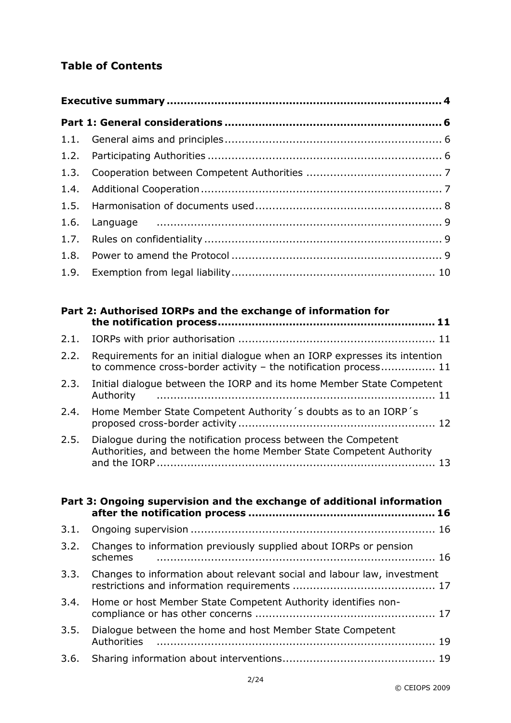### Table of Contents

| Part 2: Authorised IORPs and the exchange of information for |                                                                                                                                              |  |  |
|--------------------------------------------------------------|----------------------------------------------------------------------------------------------------------------------------------------------|--|--|
| 2.1.                                                         |                                                                                                                                              |  |  |
| 2.2.                                                         | Requirements for an initial dialogue when an IORP expresses its intention<br>to commence cross-border activity - the notification process 11 |  |  |
| 2.3.                                                         | Initial dialogue between the IORP and its home Member State Competent<br>Authority                                                           |  |  |
| 2.4.                                                         | Home Member State Competent Authority's doubts as to an IORP's                                                                               |  |  |
| 2.5.                                                         | Dialogue during the notification process between the Competent<br>Authorities, and between the home Member State Competent Authority<br>-13  |  |  |

| Part 3: Ongoing supervision and the exchange of additional information |                                                                                                          |  |  |
|------------------------------------------------------------------------|----------------------------------------------------------------------------------------------------------|--|--|
| 3.1.                                                                   |                                                                                                          |  |  |
| 3.2.                                                                   | Changes to information previously supplied about IORPs or pension<br>schemes                             |  |  |
|                                                                        | 3.3. Changes to information about relevant social and labour law, investment                             |  |  |
| 3.4.                                                                   | Home or host Member State Competent Authority identifies non-                                            |  |  |
| 3.5.                                                                   | Dialogue between the home and host Member State Competent<br>Authorities ………………………………………………………………………… 19 |  |  |
| 3.6.                                                                   |                                                                                                          |  |  |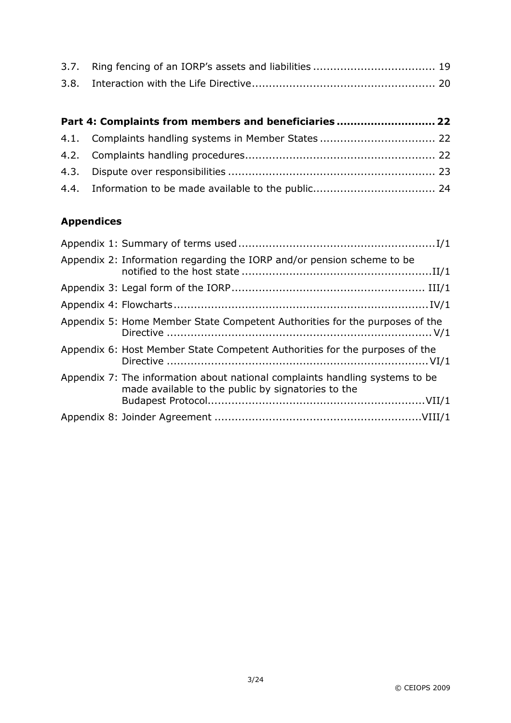| Part 4: Complaints from members and beneficiaries 22 |  |
|------------------------------------------------------|--|
|                                                      |  |
|                                                      |  |
|                                                      |  |
|                                                      |  |

#### Appendices

| Appendix 2: Information regarding the IORP and/or pension scheme to be                                                             |
|------------------------------------------------------------------------------------------------------------------------------------|
|                                                                                                                                    |
|                                                                                                                                    |
| Appendix 5: Home Member State Competent Authorities for the purposes of the                                                        |
| Appendix 6: Host Member State Competent Authorities for the purposes of the                                                        |
| Appendix 7: The information about national complaints handling systems to be<br>made available to the public by signatories to the |
|                                                                                                                                    |
|                                                                                                                                    |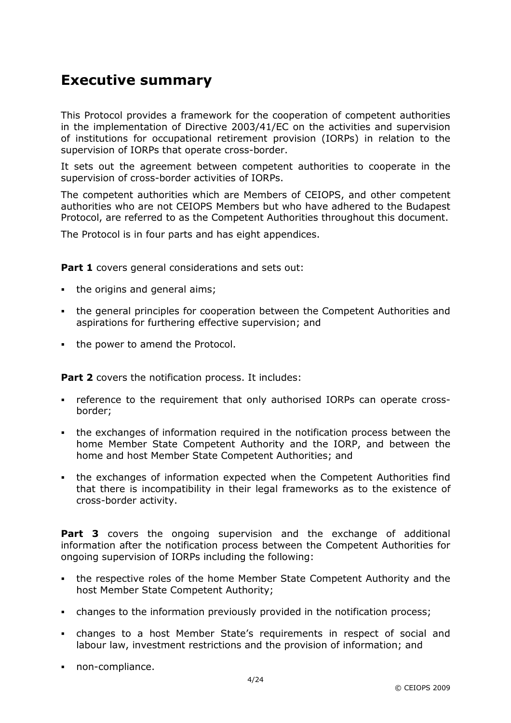### Executive summary

This Protocol provides a framework for the cooperation of competent authorities in the implementation of Directive 2003/41/EC on the activities and supervision of institutions for occupational retirement provision (IORPs) in relation to the supervision of IORPs that operate cross-border.

It sets out the agreement between competent authorities to cooperate in the supervision of cross-border activities of IORPs.

The competent authorities which are Members of CEIOPS, and other competent authorities who are not CEIOPS Members but who have adhered to the Budapest Protocol, are referred to as the Competent Authorities throughout this document.

The Protocol is in four parts and has eight appendices.

Part 1 covers general considerations and sets out:

- the origins and general aims;
- the general principles for cooperation between the Competent Authorities and aspirations for furthering effective supervision; and
- the power to amend the Protocol.

Part 2 covers the notification process. It includes:

- reference to the requirement that only authorised IORPs can operate crossborder;
- the exchanges of information required in the notification process between the home Member State Competent Authority and the IORP, and between the home and host Member State Competent Authorities; and
- the exchanges of information expected when the Competent Authorities find that there is incompatibility in their legal frameworks as to the existence of cross-border activity.

**Part 3** covers the ongoing supervision and the exchange of additional information after the notification process between the Competent Authorities for ongoing supervision of IORPs including the following:

- the respective roles of the home Member State Competent Authority and the host Member State Competent Authority;
- changes to the information previously provided in the notification process;
- changes to a host Member State's requirements in respect of social and labour law, investment restrictions and the provision of information; and
- non-compliance.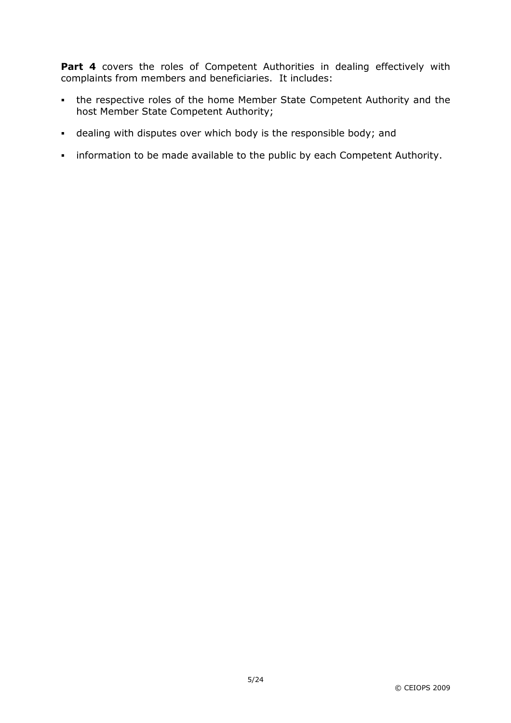Part 4 covers the roles of Competent Authorities in dealing effectively with complaints from members and beneficiaries. It includes:

- the respective roles of the home Member State Competent Authority and the host Member State Competent Authority;
- dealing with disputes over which body is the responsible body; and
- information to be made available to the public by each Competent Authority.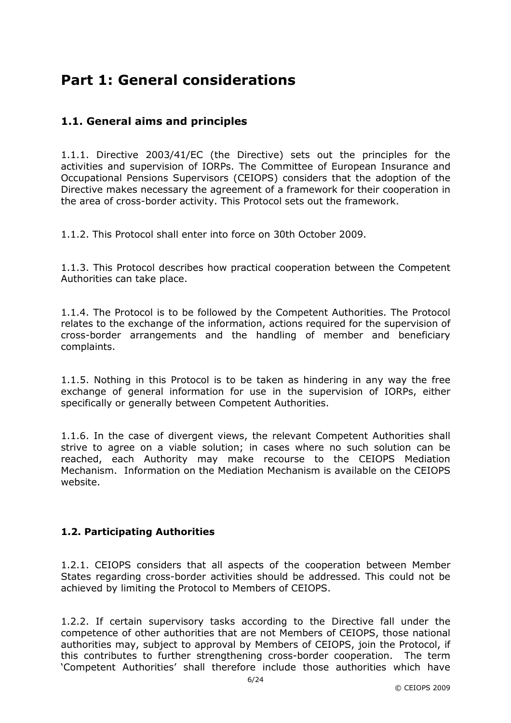# Part 1: General considerations

#### 1.1. General aims and principles

1.1.1. Directive 2003/41/EC (the Directive) sets out the principles for the activities and supervision of IORPs. The Committee of European Insurance and Occupational Pensions Supervisors (CEIOPS) considers that the adoption of the Directive makes necessary the agreement of a framework for their cooperation in the area of cross-border activity. This Protocol sets out the framework.

1.1.2. This Protocol shall enter into force on 30th October 2009.

1.1.3. This Protocol describes how practical cooperation between the Competent Authorities can take place.

1.1.4. The Protocol is to be followed by the Competent Authorities. The Protocol relates to the exchange of the information, actions required for the supervision of cross-border arrangements and the handling of member and beneficiary complaints.

1.1.5. Nothing in this Protocol is to be taken as hindering in any way the free exchange of general information for use in the supervision of IORPs, either specifically or generally between Competent Authorities.

1.1.6. In the case of divergent views, the relevant Competent Authorities shall strive to agree on a viable solution; in cases where no such solution can be reached, each Authority may make recourse to the CEIOPS Mediation Mechanism. Information on the Mediation Mechanism is available on the CEIOPS website.

#### 1.2. Participating Authorities

1.2.1. CEIOPS considers that all aspects of the cooperation between Member States regarding cross-border activities should be addressed. This could not be achieved by limiting the Protocol to Members of CEIOPS.

1.2.2. If certain supervisory tasks according to the Directive fall under the competence of other authorities that are not Members of CEIOPS, those national authorities may, subject to approval by Members of CEIOPS, join the Protocol, if this contributes to further strengthening cross-border cooperation. The term 'Competent Authorities' shall therefore include those authorities which have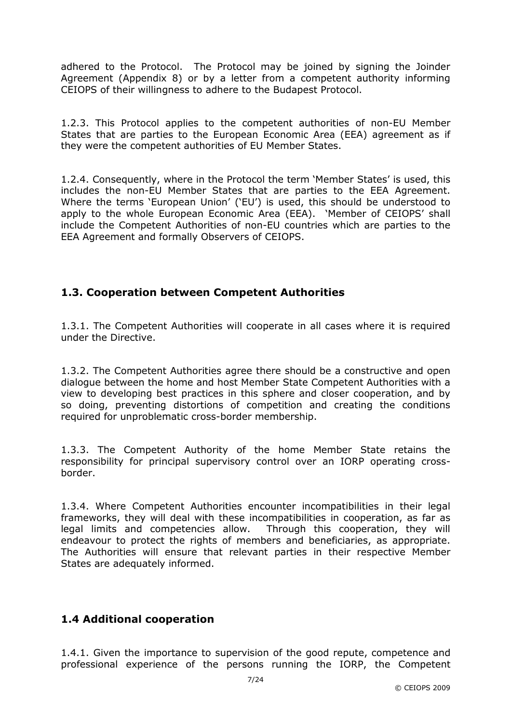adhered to the Protocol. The Protocol may be joined by signing the Joinder Agreement (Appendix 8) or by a letter from a competent authority informing CEIOPS of their willingness to adhere to the Budapest Protocol.

1.2.3. This Protocol applies to the competent authorities of non-EU Member States that are parties to the European Economic Area (EEA) agreement as if they were the competent authorities of EU Member States.

1.2.4. Consequently, where in the Protocol the term 'Member States' is used, this includes the non-EU Member States that are parties to the EEA Agreement. Where the terms 'European Union' ('EU') is used, this should be understood to apply to the whole European Economic Area (EEA). 'Member of CEIOPS' shall include the Competent Authorities of non-EU countries which are parties to the EEA Agreement and formally Observers of CEIOPS.

#### 1.3. Cooperation between Competent Authorities

1.3.1. The Competent Authorities will cooperate in all cases where it is required under the Directive.

1.3.2. The Competent Authorities agree there should be a constructive and open dialogue between the home and host Member State Competent Authorities with a view to developing best practices in this sphere and closer cooperation, and by so doing, preventing distortions of competition and creating the conditions required for unproblematic cross-border membership.

1.3.3. The Competent Authority of the home Member State retains the responsibility for principal supervisory control over an IORP operating crossborder.

1.3.4. Where Competent Authorities encounter incompatibilities in their legal frameworks, they will deal with these incompatibilities in cooperation, as far as legal limits and competencies allow. Through this cooperation, they will endeavour to protect the rights of members and beneficiaries, as appropriate. The Authorities will ensure that relevant parties in their respective Member States are adequately informed.

#### 1.4 Additional cooperation

1.4.1. Given the importance to supervision of the good repute, competence and professional experience of the persons running the IORP, the Competent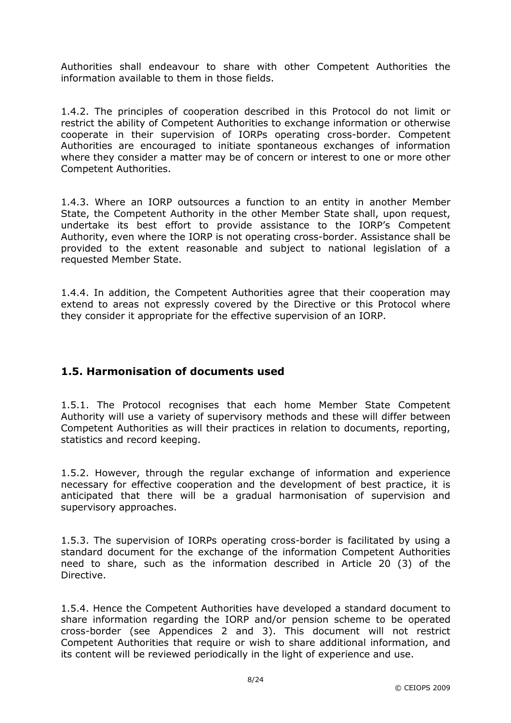Authorities shall endeavour to share with other Competent Authorities the information available to them in those fields.

1.4.2. The principles of cooperation described in this Protocol do not limit or restrict the ability of Competent Authorities to exchange information or otherwise cooperate in their supervision of IORPs operating cross-border. Competent Authorities are encouraged to initiate spontaneous exchanges of information where they consider a matter may be of concern or interest to one or more other Competent Authorities.

1.4.3. Where an IORP outsources a function to an entity in another Member State, the Competent Authority in the other Member State shall, upon request, undertake its best effort to provide assistance to the IORP's Competent Authority, even where the IORP is not operating cross-border. Assistance shall be provided to the extent reasonable and subject to national legislation of a requested Member State.

1.4.4. In addition, the Competent Authorities agree that their cooperation may extend to areas not expressly covered by the Directive or this Protocol where they consider it appropriate for the effective supervision of an IORP.

#### 1.5. Harmonisation of documents used

1.5.1. The Protocol recognises that each home Member State Competent Authority will use a variety of supervisory methods and these will differ between Competent Authorities as will their practices in relation to documents, reporting, statistics and record keeping.

1.5.2. However, through the regular exchange of information and experience necessary for effective cooperation and the development of best practice, it is anticipated that there will be a gradual harmonisation of supervision and supervisory approaches.

1.5.3. The supervision of IORPs operating cross-border is facilitated by using a standard document for the exchange of the information Competent Authorities need to share, such as the information described in Article 20 (3) of the Directive.

1.5.4. Hence the Competent Authorities have developed a standard document to share information regarding the IORP and/or pension scheme to be operated cross-border (see Appendices 2 and 3). This document will not restrict Competent Authorities that require or wish to share additional information, and its content will be reviewed periodically in the light of experience and use.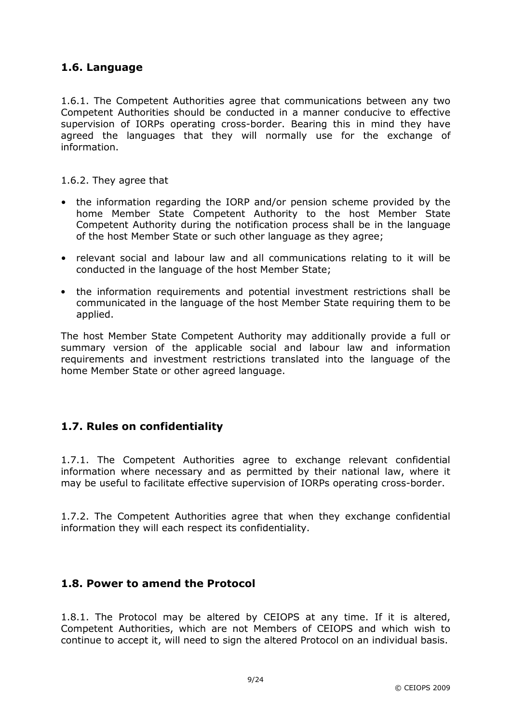#### 1.6. Language

1.6.1. The Competent Authorities agree that communications between any two Competent Authorities should be conducted in a manner conducive to effective supervision of IORPs operating cross-border. Bearing this in mind they have agreed the languages that they will normally use for the exchange of information.

1.6.2. They agree that

- the information regarding the IORP and/or pension scheme provided by the home Member State Competent Authority to the host Member State Competent Authority during the notification process shall be in the language of the host Member State or such other language as they agree;
- relevant social and labour law and all communications relating to it will be conducted in the language of the host Member State;
- the information requirements and potential investment restrictions shall be communicated in the language of the host Member State requiring them to be applied.

The host Member State Competent Authority may additionally provide a full or summary version of the applicable social and labour law and information requirements and investment restrictions translated into the language of the home Member State or other agreed language.

#### 1.7. Rules on confidentiality

1.7.1. The Competent Authorities agree to exchange relevant confidential information where necessary and as permitted by their national law, where it may be useful to facilitate effective supervision of IORPs operating cross-border.

1.7.2. The Competent Authorities agree that when they exchange confidential information they will each respect its confidentiality.

#### 1.8. Power to amend the Protocol

1.8.1. The Protocol may be altered by CEIOPS at any time. If it is altered, Competent Authorities, which are not Members of CEIOPS and which wish to continue to accept it, will need to sign the altered Protocol on an individual basis.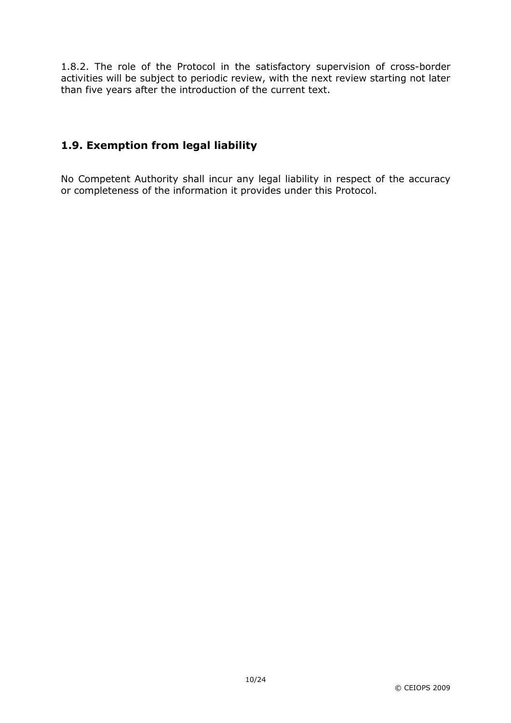1.8.2. The role of the Protocol in the satisfactory supervision of cross-border activities will be subject to periodic review, with the next review starting not later than five years after the introduction of the current text.

### 1.9. Exemption from legal liability

No Competent Authority shall incur any legal liability in respect of the accuracy or completeness of the information it provides under this Protocol.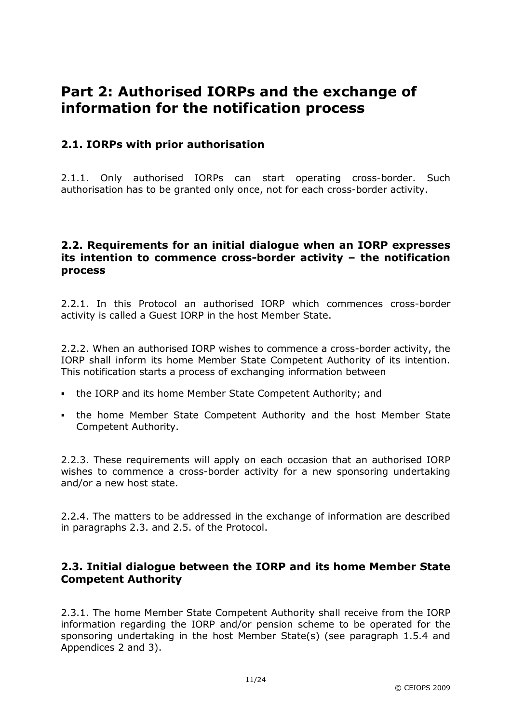# Part 2: Authorised IORPs and the exchange of information for the notification process

#### 2.1. IORPs with prior authorisation

2.1.1. Only authorised IORPs can start operating cross-border. Such authorisation has to be granted only once, not for each cross-border activity.

#### 2.2. Requirements for an initial dialogue when an IORP expresses its intention to commence cross-border activity – the notification process

2.2.1. In this Protocol an authorised IORP which commences cross-border activity is called a Guest IORP in the host Member State.

2.2.2. When an authorised IORP wishes to commence a cross-border activity, the IORP shall inform its home Member State Competent Authority of its intention. This notification starts a process of exchanging information between

- the IORP and its home Member State Competent Authority; and
- . the home Member State Competent Authority and the host Member State Competent Authority.

2.2.3. These requirements will apply on each occasion that an authorised IORP wishes to commence a cross-border activity for a new sponsoring undertaking and/or a new host state.

2.2.4. The matters to be addressed in the exchange of information are described in paragraphs 2.3. and 2.5. of the Protocol.

#### 2.3. Initial dialogue between the IORP and its home Member State Competent Authority

2.3.1. The home Member State Competent Authority shall receive from the IORP information regarding the IORP and/or pension scheme to be operated for the sponsoring undertaking in the host Member State(s) (see paragraph 1.5.4 and Appendices 2 and 3).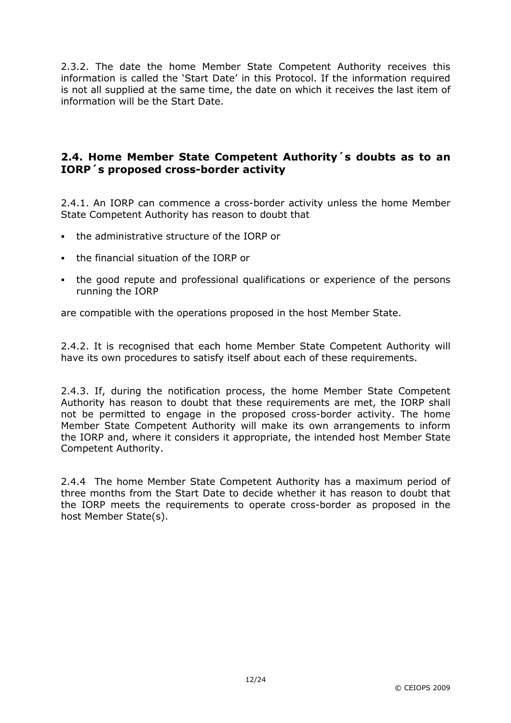2.3.2. The date the home Member State Competent Authority receives this information is called the 'Start Date' in this Protocol. If the information required is not all supplied at the same time, the date on which it receives the last item of information will be the Start Date.

#### 2.4. Home Member State Competent Authority´s doubts as to an IORP´s proposed cross-border activity

2.4.1. An IORP can commence a cross-border activity unless the home Member State Competent Authority has reason to doubt that

- the administrative structure of the IORP or
- the financial situation of the IORP or
- the good repute and professional qualifications or experience of the persons running the IORP

are compatible with the operations proposed in the host Member State.

2.4.2. It is recognised that each home Member State Competent Authority will have its own procedures to satisfy itself about each of these requirements.

2.4.3. If, during the notification process, the home Member State Competent Authority has reason to doubt that these requirements are met, the IORP shall not be permitted to engage in the proposed cross-border activity. The home Member State Competent Authority will make its own arrangements to inform the IORP and, where it considers it appropriate, the intended host Member State Competent Authority.

2.4.4 The home Member State Competent Authority has a maximum period of three months from the Start Date to decide whether it has reason to doubt that the IORP meets the requirements to operate cross-border as proposed in the host Member State(s).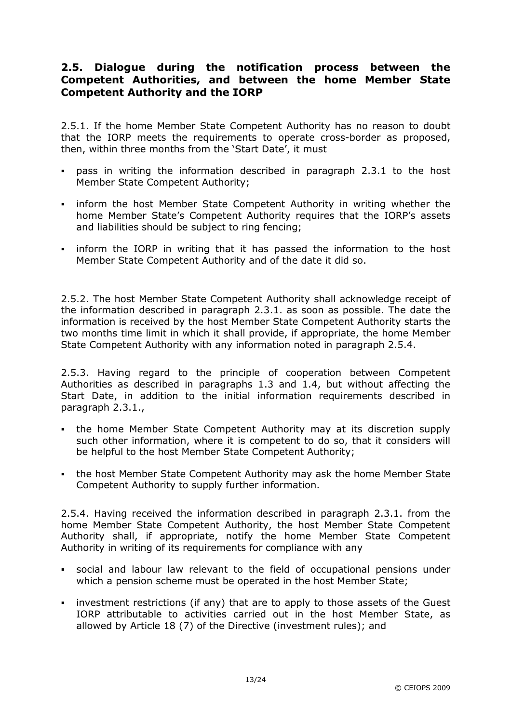#### 2.5. Dialogue during the notification process between the Competent Authorities, and between the home Member State Competent Authority and the IORP

2.5.1. If the home Member State Competent Authority has no reason to doubt that the IORP meets the requirements to operate cross-border as proposed, then, within three months from the 'Start Date', it must

- pass in writing the information described in paragraph 2.3.1 to the host Member State Competent Authority;
- inform the host Member State Competent Authority in writing whether the home Member State's Competent Authority requires that the IORP's assets and liabilities should be subject to ring fencing;
- inform the IORP in writing that it has passed the information to the host Member State Competent Authority and of the date it did so.

2.5.2. The host Member State Competent Authority shall acknowledge receipt of the information described in paragraph 2.3.1. as soon as possible. The date the information is received by the host Member State Competent Authority starts the two months time limit in which it shall provide, if appropriate, the home Member State Competent Authority with any information noted in paragraph 2.5.4.

2.5.3. Having regard to the principle of cooperation between Competent Authorities as described in paragraphs 1.3 and 1.4, but without affecting the Start Date, in addition to the initial information requirements described in paragraph 2.3.1.,

- the home Member State Competent Authority may at its discretion supply such other information, where it is competent to do so, that it considers will be helpful to the host Member State Competent Authority;
- the host Member State Competent Authority may ask the home Member State Competent Authority to supply further information.

2.5.4. Having received the information described in paragraph 2.3.1. from the home Member State Competent Authority, the host Member State Competent Authority shall, if appropriate, notify the home Member State Competent Authority in writing of its requirements for compliance with any

- social and labour law relevant to the field of occupational pensions under which a pension scheme must be operated in the host Member State;
- investment restrictions (if any) that are to apply to those assets of the Guest IORP attributable to activities carried out in the host Member State, as allowed by Article 18 (7) of the Directive (investment rules); and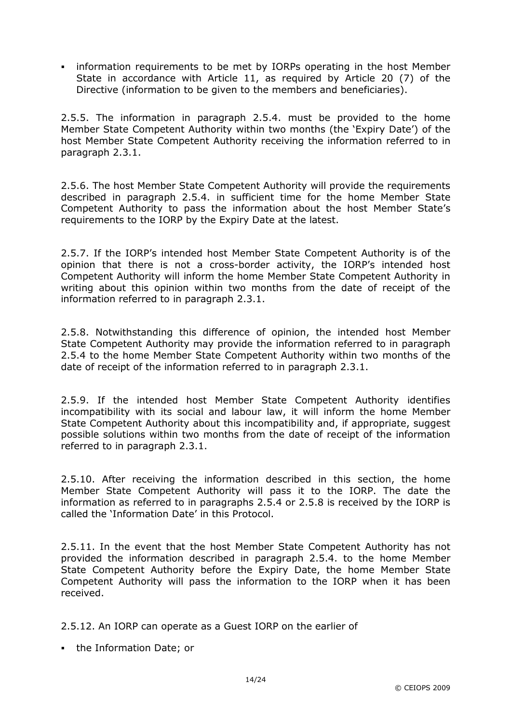information requirements to be met by IORPs operating in the host Member State in accordance with Article 11, as required by Article 20 (7) of the Directive (information to be given to the members and beneficiaries).

2.5.5. The information in paragraph 2.5.4. must be provided to the home Member State Competent Authority within two months (the 'Expiry Date') of the host Member State Competent Authority receiving the information referred to in paragraph 2.3.1.

2.5.6. The host Member State Competent Authority will provide the requirements described in paragraph 2.5.4. in sufficient time for the home Member State Competent Authority to pass the information about the host Member State's requirements to the IORP by the Expiry Date at the latest.

2.5.7. If the IORP's intended host Member State Competent Authority is of the opinion that there is not a cross-border activity, the IORP's intended host Competent Authority will inform the home Member State Competent Authority in writing about this opinion within two months from the date of receipt of the information referred to in paragraph 2.3.1.

2.5.8. Notwithstanding this difference of opinion, the intended host Member State Competent Authority may provide the information referred to in paragraph 2.5.4 to the home Member State Competent Authority within two months of the date of receipt of the information referred to in paragraph 2.3.1.

2.5.9. If the intended host Member State Competent Authority identifies incompatibility with its social and labour law, it will inform the home Member State Competent Authority about this incompatibility and, if appropriate, suggest possible solutions within two months from the date of receipt of the information referred to in paragraph 2.3.1.

2.5.10. After receiving the information described in this section, the home Member State Competent Authority will pass it to the IORP. The date the information as referred to in paragraphs 2.5.4 or 2.5.8 is received by the IORP is called the 'Information Date' in this Protocol.

2.5.11. In the event that the host Member State Competent Authority has not provided the information described in paragraph 2.5.4. to the home Member State Competent Authority before the Expiry Date, the home Member State Competent Authority will pass the information to the IORP when it has been received.

2.5.12. An IORP can operate as a Guest IORP on the earlier of

• the Information Date; or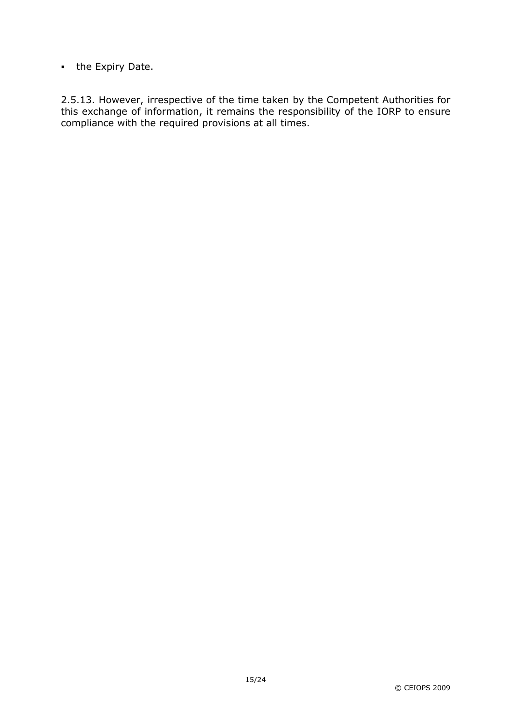• the Expiry Date.

2.5.13. However, irrespective of the time taken by the Competent Authorities for this exchange of information, it remains the responsibility of the IORP to ensure compliance with the required provisions at all times.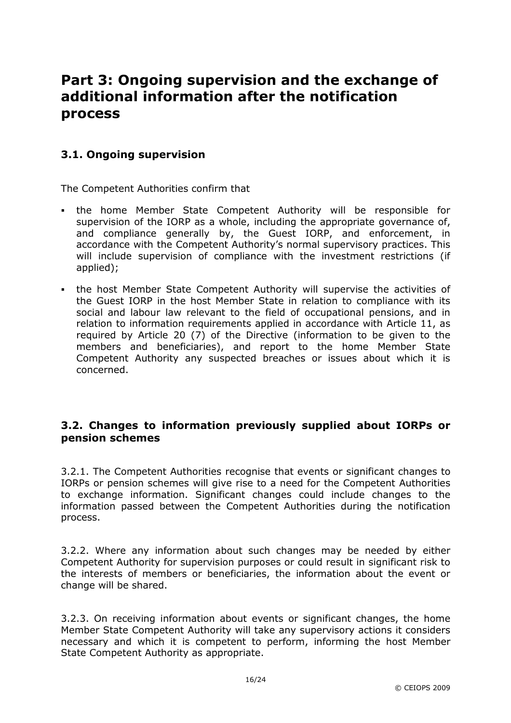# Part 3: Ongoing supervision and the exchange of additional information after the notification process

#### 3.1. Ongoing supervision

The Competent Authorities confirm that

- the home Member State Competent Authority will be responsible for supervision of the IORP as a whole, including the appropriate governance of, and compliance generally by, the Guest IORP, and enforcement, in accordance with the Competent Authority's normal supervisory practices. This will include supervision of compliance with the investment restrictions (if applied);
- the host Member State Competent Authority will supervise the activities of the Guest IORP in the host Member State in relation to compliance with its social and labour law relevant to the field of occupational pensions, and in relation to information requirements applied in accordance with Article 11, as required by Article 20 (7) of the Directive (information to be given to the members and beneficiaries), and report to the home Member State Competent Authority any suspected breaches or issues about which it is concerned.

#### 3.2. Changes to information previously supplied about IORPs or pension schemes

3.2.1. The Competent Authorities recognise that events or significant changes to IORPs or pension schemes will give rise to a need for the Competent Authorities to exchange information. Significant changes could include changes to the information passed between the Competent Authorities during the notification process.

3.2.2. Where any information about such changes may be needed by either Competent Authority for supervision purposes or could result in significant risk to the interests of members or beneficiaries, the information about the event or change will be shared.

3.2.3. On receiving information about events or significant changes, the home Member State Competent Authority will take any supervisory actions it considers necessary and which it is competent to perform, informing the host Member State Competent Authority as appropriate.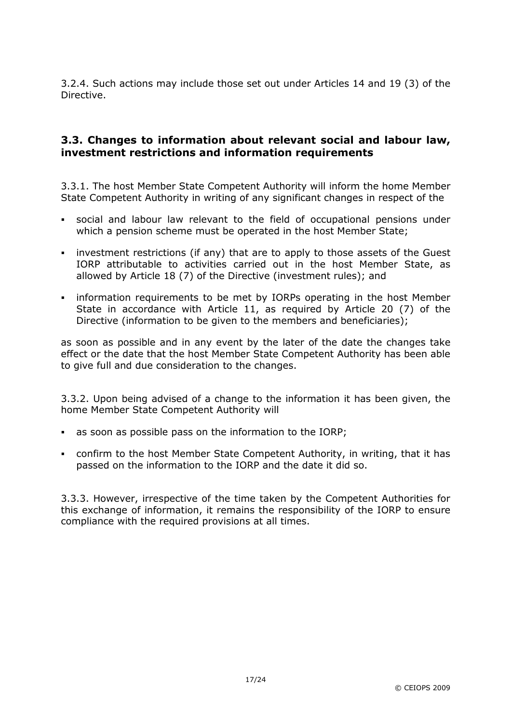3.2.4. Such actions may include those set out under Articles 14 and 19 (3) of the Directive.

#### 3.3. Changes to information about relevant social and labour law, investment restrictions and information requirements

3.3.1. The host Member State Competent Authority will inform the home Member State Competent Authority in writing of any significant changes in respect of the

- social and labour law relevant to the field of occupational pensions under which a pension scheme must be operated in the host Member State;
- investment restrictions (if any) that are to apply to those assets of the Guest IORP attributable to activities carried out in the host Member State, as allowed by Article 18 (7) of the Directive (investment rules); and
- information requirements to be met by IORPs operating in the host Member State in accordance with Article 11, as required by Article 20 (7) of the Directive (information to be given to the members and beneficiaries);

as soon as possible and in any event by the later of the date the changes take effect or the date that the host Member State Competent Authority has been able to give full and due consideration to the changes.

3.3.2. Upon being advised of a change to the information it has been given, the home Member State Competent Authority will

- as soon as possible pass on the information to the IORP;
- confirm to the host Member State Competent Authority, in writing, that it has passed on the information to the IORP and the date it did so.

3.3.3. However, irrespective of the time taken by the Competent Authorities for this exchange of information, it remains the responsibility of the IORP to ensure compliance with the required provisions at all times.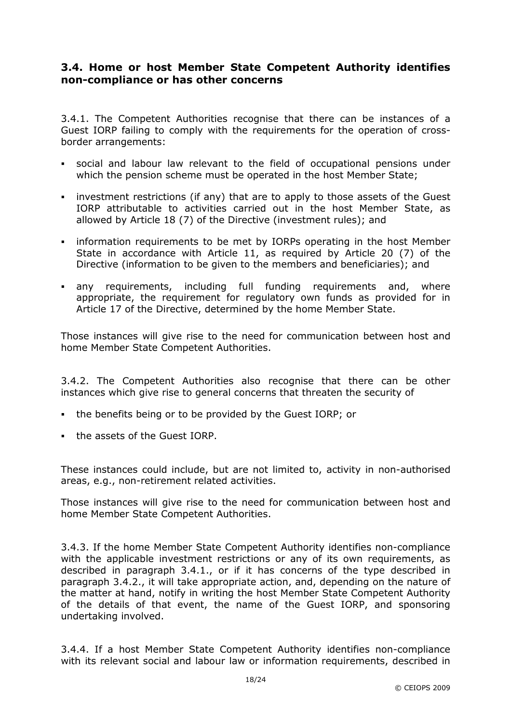#### 3.4. Home or host Member State Competent Authority identifies non-compliance or has other concerns

3.4.1. The Competent Authorities recognise that there can be instances of a Guest IORP failing to comply with the requirements for the operation of crossborder arrangements:

- social and labour law relevant to the field of occupational pensions under which the pension scheme must be operated in the host Member State;
- investment restrictions (if any) that are to apply to those assets of the Guest IORP attributable to activities carried out in the host Member State, as allowed by Article 18 (7) of the Directive (investment rules); and
- information requirements to be met by IORPs operating in the host Member State in accordance with Article 11, as required by Article 20 (7) of the Directive (information to be given to the members and beneficiaries); and
- any requirements, including full funding requirements and, where appropriate, the requirement for regulatory own funds as provided for in Article 17 of the Directive, determined by the home Member State.

Those instances will give rise to the need for communication between host and home Member State Competent Authorities.

3.4.2. The Competent Authorities also recognise that there can be other instances which give rise to general concerns that threaten the security of

- the benefits being or to be provided by the Guest IORP; or
- the assets of the Guest IORP.

These instances could include, but are not limited to, activity in non-authorised areas, e.g., non-retirement related activities.

Those instances will give rise to the need for communication between host and home Member State Competent Authorities.

3.4.3. If the home Member State Competent Authority identifies non-compliance with the applicable investment restrictions or any of its own requirements, as described in paragraph 3.4.1., or if it has concerns of the type described in paragraph 3.4.2., it will take appropriate action, and, depending on the nature of the matter at hand, notify in writing the host Member State Competent Authority of the details of that event, the name of the Guest IORP, and sponsoring undertaking involved.

3.4.4. If a host Member State Competent Authority identifies non-compliance with its relevant social and labour law or information requirements, described in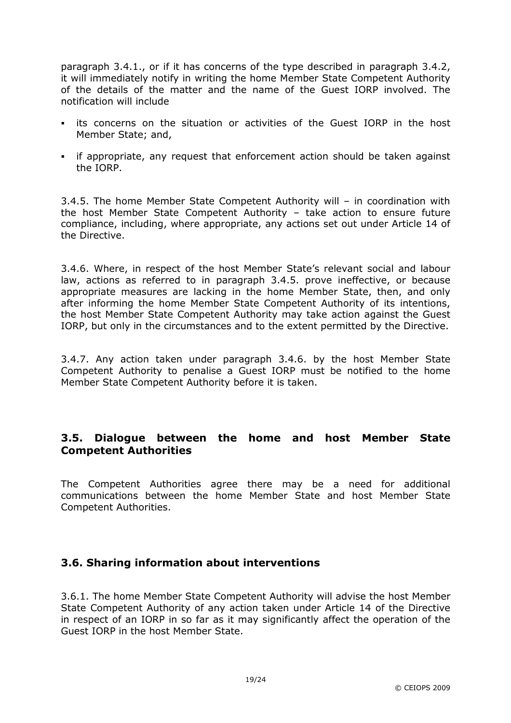paragraph 3.4.1., or if it has concerns of the type described in paragraph 3.4.2, it will immediately notify in writing the home Member State Competent Authority of the details of the matter and the name of the Guest IORP involved. The notification will include

- its concerns on the situation or activities of the Guest IORP in the host Member State; and,
- if appropriate, any request that enforcement action should be taken against the IORP.

3.4.5. The home Member State Competent Authority will – in coordination with the host Member State Competent Authority – take action to ensure future compliance, including, where appropriate, any actions set out under Article 14 of the Directive.

3.4.6. Where, in respect of the host Member State's relevant social and labour law, actions as referred to in paragraph 3.4.5. prove ineffective, or because appropriate measures are lacking in the home Member State, then, and only after informing the home Member State Competent Authority of its intentions, the host Member State Competent Authority may take action against the Guest IORP, but only in the circumstances and to the extent permitted by the Directive.

3.4.7. Any action taken under paragraph 3.4.6. by the host Member State Competent Authority to penalise a Guest IORP must be notified to the home Member State Competent Authority before it is taken.

#### 3.5. Dialogue between the home and host Member State Competent Authorities

The Competent Authorities agree there may be a need for additional communications between the home Member State and host Member State Competent Authorities.

#### 3.6. Sharing information about interventions

3.6.1. The home Member State Competent Authority will advise the host Member State Competent Authority of any action taken under Article 14 of the Directive in respect of an IORP in so far as it may significantly affect the operation of the Guest IORP in the host Member State.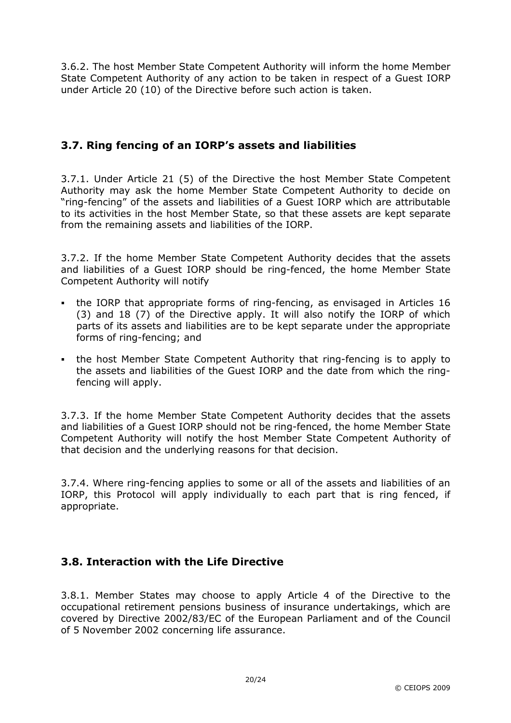3.6.2. The host Member State Competent Authority will inform the home Member State Competent Authority of any action to be taken in respect of a Guest IORP under Article 20 (10) of the Directive before such action is taken.

### 3.7. Ring fencing of an IORP's assets and liabilities

3.7.1. Under Article 21 (5) of the Directive the host Member State Competent Authority may ask the home Member State Competent Authority to decide on "ring-fencing" of the assets and liabilities of a Guest IORP which are attributable to its activities in the host Member State, so that these assets are kept separate from the remaining assets and liabilities of the IORP.

3.7.2. If the home Member State Competent Authority decides that the assets and liabilities of a Guest IORP should be ring-fenced, the home Member State Competent Authority will notify

- the IORP that appropriate forms of ring-fencing, as envisaged in Articles 16 (3) and 18 (7) of the Directive apply. It will also notify the IORP of which parts of its assets and liabilities are to be kept separate under the appropriate forms of ring-fencing; and
- the host Member State Competent Authority that ring-fencing is to apply to the assets and liabilities of the Guest IORP and the date from which the ringfencing will apply.

3.7.3. If the home Member State Competent Authority decides that the assets and liabilities of a Guest IORP should not be ring-fenced, the home Member State Competent Authority will notify the host Member State Competent Authority of that decision and the underlying reasons for that decision.

3.7.4. Where ring-fencing applies to some or all of the assets and liabilities of an IORP, this Protocol will apply individually to each part that is ring fenced, if appropriate.

#### 3.8. Interaction with the Life Directive

3.8.1. Member States may choose to apply Article 4 of the Directive to the occupational retirement pensions business of insurance undertakings, which are covered by Directive 2002/83/EC of the European Parliament and of the Council of 5 November 2002 concerning life assurance.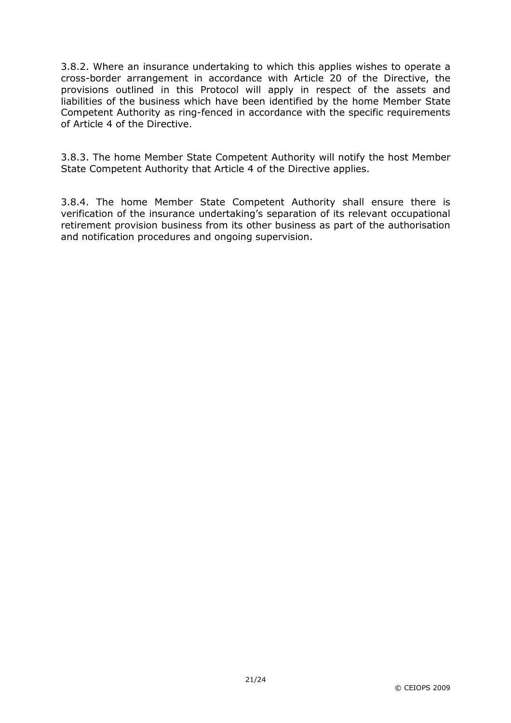3.8.2. Where an insurance undertaking to which this applies wishes to operate a cross-border arrangement in accordance with Article 20 of the Directive, the provisions outlined in this Protocol will apply in respect of the assets and liabilities of the business which have been identified by the home Member State Competent Authority as ring-fenced in accordance with the specific requirements of Article 4 of the Directive.

3.8.3. The home Member State Competent Authority will notify the host Member State Competent Authority that Article 4 of the Directive applies.

3.8.4. The home Member State Competent Authority shall ensure there is verification of the insurance undertaking's separation of its relevant occupational retirement provision business from its other business as part of the authorisation and notification procedures and ongoing supervision.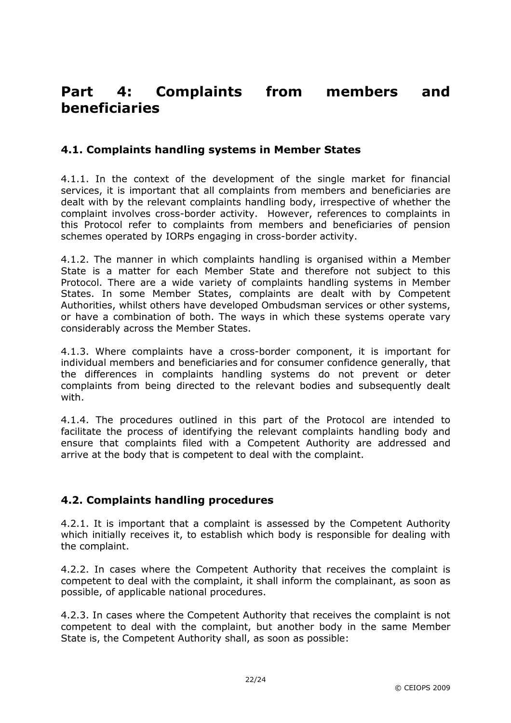# Part 4: Complaints from members and beneficiaries

#### 4.1. Complaints handling systems in Member States

4.1.1. In the context of the development of the single market for financial services, it is important that all complaints from members and beneficiaries are dealt with by the relevant complaints handling body, irrespective of whether the complaint involves cross-border activity. However, references to complaints in this Protocol refer to complaints from members and beneficiaries of pension schemes operated by IORPs engaging in cross-border activity.

4.1.2. The manner in which complaints handling is organised within a Member State is a matter for each Member State and therefore not subject to this Protocol. There are a wide variety of complaints handling systems in Member States. In some Member States, complaints are dealt with by Competent Authorities, whilst others have developed Ombudsman services or other systems, or have a combination of both. The ways in which these systems operate vary considerably across the Member States.

4.1.3. Where complaints have a cross-border component, it is important for individual members and beneficiaries and for consumer confidence generally, that the differences in complaints handling systems do not prevent or deter complaints from being directed to the relevant bodies and subsequently dealt with.

4.1.4. The procedures outlined in this part of the Protocol are intended to facilitate the process of identifying the relevant complaints handling body and ensure that complaints filed with a Competent Authority are addressed and arrive at the body that is competent to deal with the complaint.

#### 4.2. Complaints handling procedures

4.2.1. It is important that a complaint is assessed by the Competent Authority which initially receives it, to establish which body is responsible for dealing with the complaint.

4.2.2. In cases where the Competent Authority that receives the complaint is competent to deal with the complaint, it shall inform the complainant, as soon as possible, of applicable national procedures.

4.2.3. In cases where the Competent Authority that receives the complaint is not competent to deal with the complaint, but another body in the same Member State is, the Competent Authority shall, as soon as possible: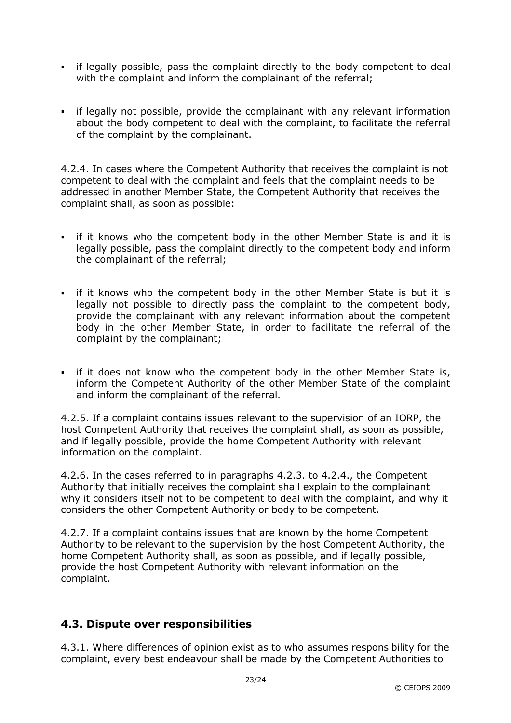- if legally possible, pass the complaint directly to the body competent to deal with the complaint and inform the complainant of the referral;
- if legally not possible, provide the complainant with any relevant information about the body competent to deal with the complaint, to facilitate the referral of the complaint by the complainant.

4.2.4. In cases where the Competent Authority that receives the complaint is not competent to deal with the complaint and feels that the complaint needs to be addressed in another Member State, the Competent Authority that receives the complaint shall, as soon as possible:

- If it knows who the competent body in the other Member State is and it is legally possible, pass the complaint directly to the competent body and inform the complainant of the referral;
- If it knows who the competent body in the other Member State is but it is legally not possible to directly pass the complaint to the competent body, provide the complainant with any relevant information about the competent body in the other Member State, in order to facilitate the referral of the complaint by the complainant;
- If it does not know who the competent body in the other Member State is, inform the Competent Authority of the other Member State of the complaint and inform the complainant of the referral.

4.2.5. If a complaint contains issues relevant to the supervision of an IORP, the host Competent Authority that receives the complaint shall, as soon as possible, and if legally possible, provide the home Competent Authority with relevant information on the complaint.

4.2.6. In the cases referred to in paragraphs 4.2.3. to 4.2.4., the Competent Authority that initially receives the complaint shall explain to the complainant why it considers itself not to be competent to deal with the complaint, and why it considers the other Competent Authority or body to be competent.

4.2.7. If a complaint contains issues that are known by the home Competent Authority to be relevant to the supervision by the host Competent Authority, the home Competent Authority shall, as soon as possible, and if legally possible, provide the host Competent Authority with relevant information on the complaint.

#### 4.3. Dispute over responsibilities

4.3.1. Where differences of opinion exist as to who assumes responsibility for the complaint, every best endeavour shall be made by the Competent Authorities to